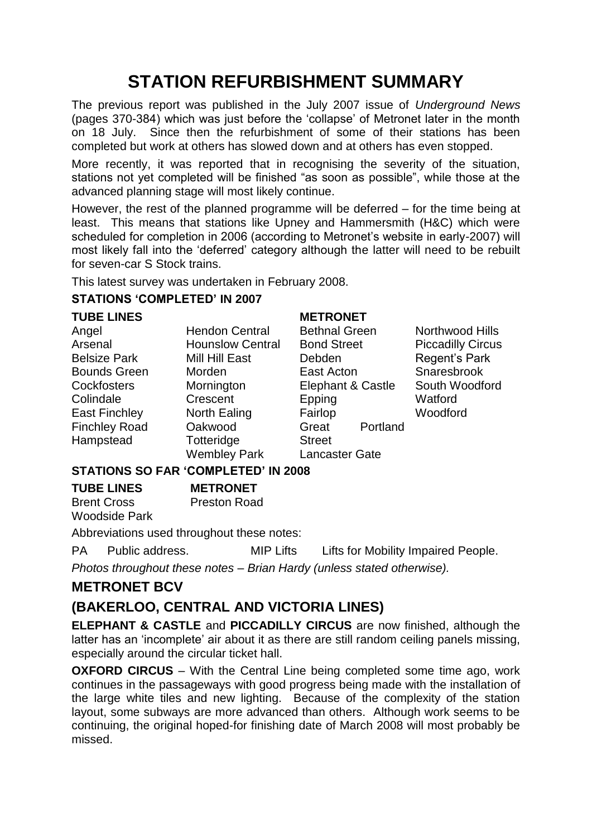# **STATION REFURBISHMENT SUMMARY**

The previous report was published in the July 2007 issue of *Underground News* (pages 370-384) which was just before the "collapse" of Metronet later in the month on 18 July. Since then the refurbishment of some of their stations has been completed but work at others has slowed down and at others has even stopped.

More recently, it was reported that in recognising the severity of the situation, stations not yet completed will be finished "as soon as possible", while those at the advanced planning stage will most likely continue.

However, the rest of the planned programme will be deferred – for the time being at least. This means that stations like Upney and Hammersmith (H&C) which were scheduled for completion in 2006 (according to Metronet's website in early-2007) will most likely fall into the "deferred" category although the latter will need to be rebuilt for seven-car S Stock trains.

This latest survey was undertaken in February 2008.

#### **STATIONS 'COMPLETED' IN 2007**

| <b>TUBE LINES</b>    |                                 | <b>METRONET</b>       |                          |
|----------------------|---------------------------------|-----------------------|--------------------------|
| Angel                | <b>Hendon Central</b>           | <b>Bethnal Green</b>  | Northwood Hills          |
| Arsenal              | <b>Hounslow Central</b>         | <b>Bond Street</b>    | <b>Piccadilly Circus</b> |
| <b>Belsize Park</b>  | Mill Hill East                  | Debden                | Regent's Park            |
| <b>Bounds Green</b>  | Morden                          | East Acton            | Snaresbrook              |
| <b>Cockfosters</b>   | Mornington                      | Elephant & Castle     | South Woodford           |
| Colindale            | Crescent                        | Epping                | Watford                  |
| <b>East Finchley</b> | North Ealing                    | Fairlop               | Woodford                 |
| <b>Finchley Road</b> | Oakwood                         | Great<br>Portland     |                          |
| Hampstead            | Totteridge                      | <b>Street</b>         |                          |
|                      | <b>Wembley Park</b>             | <b>Lancaster Gate</b> |                          |
|                      | CTATIONC CO FAD (COMBI FTED) IN |                       |                          |

#### **STATIONS SO FAR 'COMPLETED' IN 2008**

**TUBE LINES** Brent Cross Woodside Park **METRONET** Preston Road

Abbreviations used throughout these notes:

PA Public address. MIP Lifts Lifts for Mobility Impaired People.

*Photos throughout these notes – Brian Hardy (unless stated otherwise).*

# **METRONET BCV**

# **(BAKERLOO, CENTRAL AND VICTORIA LINES)**

**ELEPHANT & CASTLE** and **PICCADILLY CIRCUS** are now finished, although the latter has an 'incomplete' air about it as there are still random ceiling panels missing, especially around the circular ticket hall.

**OXFORD CIRCUS** – With the Central Line being completed some time ago, work continues in the passageways with good progress being made with the installation of the large white tiles and new lighting. Because of the complexity of the station layout, some subways are more advanced than others. Although work seems to be continuing, the original hoped-for finishing date of March 2008 will most probably be missed.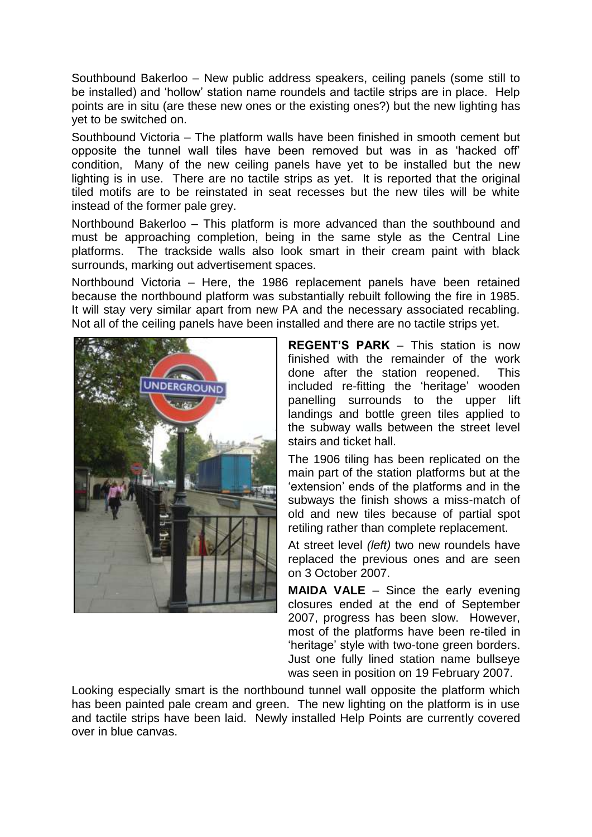Southbound Bakerloo – New public address speakers, ceiling panels (some still to be installed) and "hollow" station name roundels and tactile strips are in place. Help points are in situ (are these new ones or the existing ones?) but the new lighting has yet to be switched on.

Southbound Victoria – The platform walls have been finished in smooth cement but opposite the tunnel wall tiles have been removed but was in as "hacked off" condition, Many of the new ceiling panels have yet to be installed but the new lighting is in use. There are no tactile strips as yet. It is reported that the original tiled motifs are to be reinstated in seat recesses but the new tiles will be white instead of the former pale grey.

Northbound Bakerloo – This platform is more advanced than the southbound and must be approaching completion, being in the same style as the Central Line platforms. The trackside walls also look smart in their cream paint with black surrounds, marking out advertisement spaces.

Northbound Victoria – Here, the 1986 replacement panels have been retained because the northbound platform was substantially rebuilt following the fire in 1985. It will stay very similar apart from new PA and the necessary associated recabling. Not all of the ceiling panels have been installed and there are no tactile strips yet.



**REGENT'S PARK** – This station is now finished with the remainder of the work done after the station reopened. This included re-fitting the "heritage" wooden panelling surrounds to the upper lift landings and bottle green tiles applied to the subway walls between the street level stairs and ticket hall.

The 1906 tiling has been replicated on the main part of the station platforms but at the "extension" ends of the platforms and in the subways the finish shows a miss-match of old and new tiles because of partial spot retiling rather than complete replacement.

At street level *(left)* two new roundels have replaced the previous ones and are seen on 3 October 2007.

**MAIDA VALE** – Since the early evening closures ended at the end of September 2007, progress has been slow. However, most of the platforms have been re-tiled in "heritage" style with two-tone green borders. Just one fully lined station name bullseye was seen in position on 19 February 2007.

Looking especially smart is the northbound tunnel wall opposite the platform which has been painted pale cream and green. The new lighting on the platform is in use and tactile strips have been laid. Newly installed Help Points are currently covered over in blue canvas.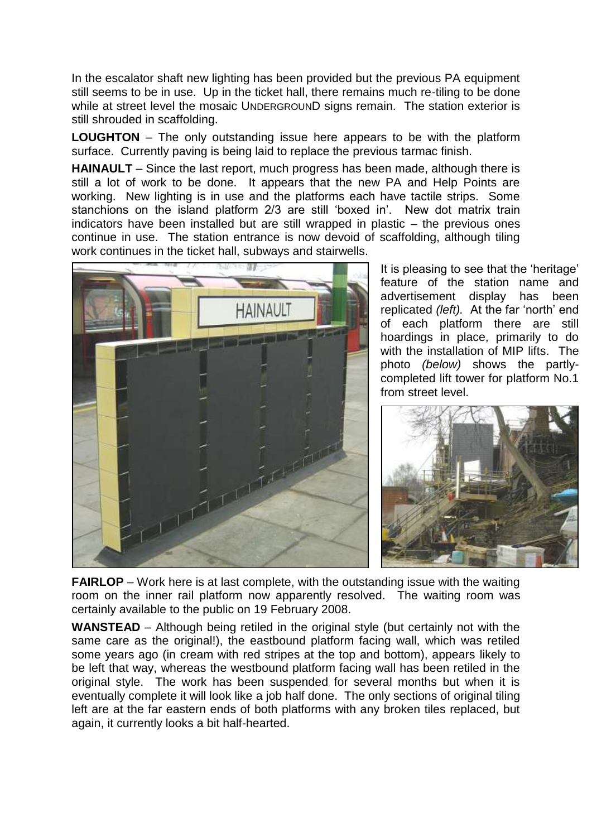In the escalator shaft new lighting has been provided but the previous PA equipment still seems to be in use. Up in the ticket hall, there remains much re-tiling to be done while at street level the mosaic UNDERGROUND signs remain. The station exterior is still shrouded in scaffolding.

**LOUGHTON** – The only outstanding issue here appears to be with the platform surface. Currently paving is being laid to replace the previous tarmac finish.

**HAINAULT** – Since the last report, much progress has been made, although there is still a lot of work to be done. It appears that the new PA and Help Points are working. New lighting is in use and the platforms each have tactile strips. Some stanchions on the island platform 2/3 are still 'boxed in'. New dot matrix train indicators have been installed but are still wrapped in plastic – the previous ones continue in use. The station entrance is now devoid of scaffolding, although tiling work continues in the ticket hall, subways and stairwells.



It is pleasing to see that the 'heritage' feature of the station name and advertisement display has been replicated *(left)*. At the far 'north' end of each platform there are still hoardings in place, primarily to do with the installation of MIP lifts. The photo *(below)* shows the partlycompleted lift tower for platform No.1 from street level.



**FAIRLOP** – Work here is at last complete, with the outstanding issue with the waiting room on the inner rail platform now apparently resolved. The waiting room was certainly available to the public on 19 February 2008.

**WANSTEAD** – Although being retiled in the original style (but certainly not with the same care as the original!), the eastbound platform facing wall, which was retiled some years ago (in cream with red stripes at the top and bottom), appears likely to be left that way, whereas the westbound platform facing wall has been retiled in the original style. The work has been suspended for several months but when it is eventually complete it will look like a job half done. The only sections of original tiling left are at the far eastern ends of both platforms with any broken tiles replaced, but again, it currently looks a bit half-hearted.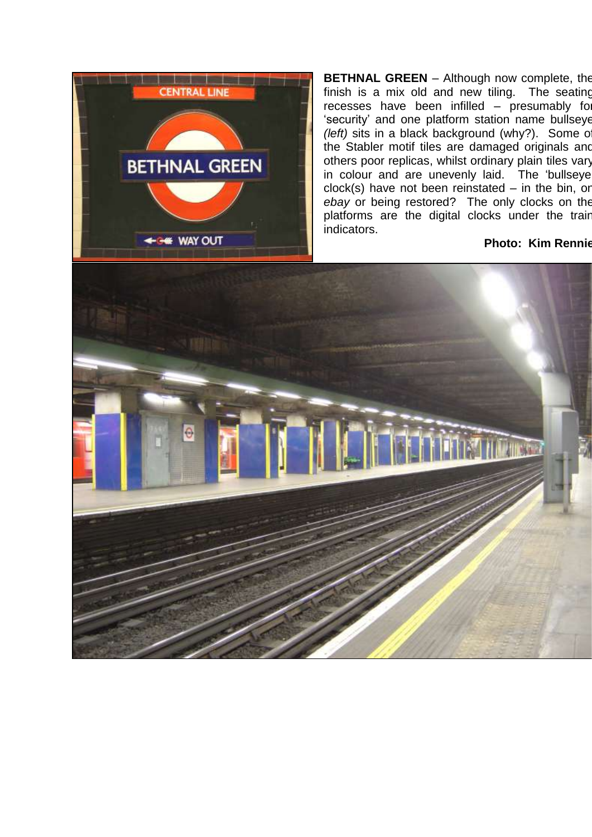

**BETHNAL GREEN** – Although now complete, the finish is a mix old and new tiling. The seating recesses have been infilled – presumably for 'security' and one platform station name bullseye *(left)* sits in a black background (why?). Some of the Stabler motif tiles are damaged originals and others poor replicas, whilst ordinary plain tiles vary in colour and are unevenly laid. The 'bullseye  $clock(s)$  have not been reinstated – in the bin, or *ebay* or being restored? The only clocks on the platforms are the digital clocks under the train indicators.

#### **Photo: Kim Rennie**

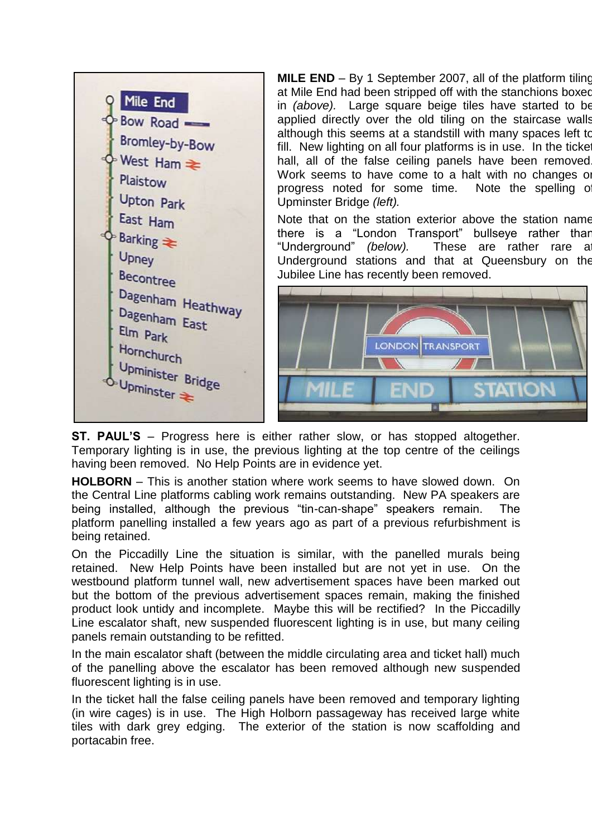

**MILE END** – By 1 September 2007, all of the platform tiling at Mile End had been stripped off with the stanchions boxed in *(above).* Large square beige tiles have started to be applied directly over the old tiling on the staircase walls although this seems at a standstill with many spaces left to fill. New lighting on all four platforms is in use. In the ticke hall, all of the false ceiling panels have been removed Work seems to have come to a halt with no changes or progress noted for some time. Note the spelling o Upminster Bridge *(left).*

Note that on the station exterior above the station name there is a "London Transport" bullseye rather than "Underground" *(below)*. These are rather rare a Underground stations and that at Queensbury on the Jubilee Line has recently been removed.



**ST. PAUL'S** – Progress here is either rather slow, or has stopped altogether. Temporary lighting is in use, the previous lighting at the top centre of the ceilings having been removed. No Help Points are in evidence yet.

**HOLBORN** – This is another station where work seems to have slowed down. On the Central Line platforms cabling work remains outstanding. New PA speakers are being installed, although the previous "tin-can-shape" speakers remain. The platform panelling installed a few years ago as part of a previous refurbishment is being retained.

On the Piccadilly Line the situation is similar, with the panelled murals being retained. New Help Points have been installed but are not yet in use. On the westbound platform tunnel wall, new advertisement spaces have been marked out but the bottom of the previous advertisement spaces remain, making the finished product look untidy and incomplete. Maybe this will be rectified? In the Piccadilly Line escalator shaft, new suspended fluorescent lighting is in use, but many ceiling panels remain outstanding to be refitted.

In the main escalator shaft (between the middle circulating area and ticket hall) much of the panelling above the escalator has been removed although new suspended fluorescent lighting is in use.

In the ticket hall the false ceiling panels have been removed and temporary lighting (in wire cages) is in use. The High Holborn passageway has received large white tiles with dark grey edging. The exterior of the station is now scaffolding and portacabin free.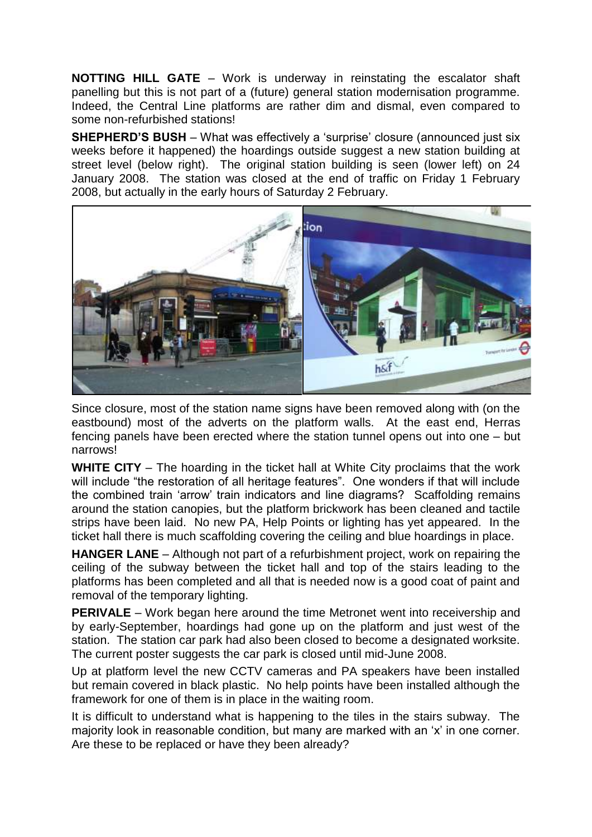**NOTTING HILL GATE** – Work is underway in reinstating the escalator shaft panelling but this is not part of a (future) general station modernisation programme. Indeed, the Central Line platforms are rather dim and dismal, even compared to some non-refurbished stations!

**SHEPHERD'S BUSH** – What was effectively a 'surprise' closure (announced just six weeks before it happened) the hoardings outside suggest a new station building at street level (below right). The original station building is seen (lower left) on 24 January 2008. The station was closed at the end of traffic on Friday 1 February 2008, but actually in the early hours of Saturday 2 February.



Since closure, most of the station name signs have been removed along with (on the eastbound) most of the adverts on the platform walls. At the east end, Herras fencing panels have been erected where the station tunnel opens out into one – but narrows!

**WHITE CITY** – The hoarding in the ticket hall at White City proclaims that the work will include "the restoration of all heritage features". One wonders if that will include the combined train "arrow" train indicators and line diagrams? Scaffolding remains around the station canopies, but the platform brickwork has been cleaned and tactile strips have been laid. No new PA, Help Points or lighting has yet appeared. In the ticket hall there is much scaffolding covering the ceiling and blue hoardings in place.

**HANGER LANE** – Although not part of a refurbishment project, work on repairing the ceiling of the subway between the ticket hall and top of the stairs leading to the platforms has been completed and all that is needed now is a good coat of paint and removal of the temporary lighting.

**PERIVALE** – Work began here around the time Metronet went into receivership and by early-September, hoardings had gone up on the platform and just west of the station. The station car park had also been closed to become a designated worksite. The current poster suggests the car park is closed until mid-June 2008.

Up at platform level the new CCTV cameras and PA speakers have been installed but remain covered in black plastic. No help points have been installed although the framework for one of them is in place in the waiting room.

It is difficult to understand what is happening to the tiles in the stairs subway. The majority look in reasonable condition, but many are marked with an "x" in one corner. Are these to be replaced or have they been already?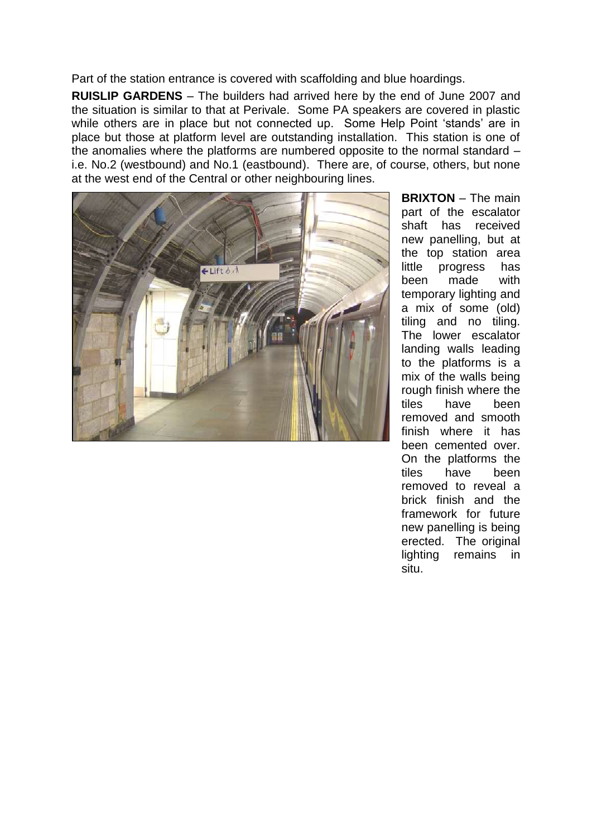Part of the station entrance is covered with scaffolding and blue hoardings.

**RUISLIP GARDENS** – The builders had arrived here by the end of June 2007 and the situation is similar to that at Perivale. Some PA speakers are covered in plastic while others are in place but not connected up. Some Help Point 'stands' are in place but those at platform level are outstanding installation. This station is one of the anomalies where the platforms are numbered opposite to the normal standard – i.e. No.2 (westbound) and No.1 (eastbound). There are, of course, others, but none at the west end of the Central or other neighbouring lines.



**BRIXTON** – The main part of the escalator shaft has received new panelling, but at the top station area little progress has been made with temporary lighting and a mix of some (old) tiling and no tiling. The lower escalator landing walls leading to the platforms is a mix of the walls being rough finish where the tiles have been removed and smooth finish where it has been cemented over. On the platforms the tiles have been removed to reveal a brick finish and the framework for future new panelling is being erected. The original lighting remains in situ.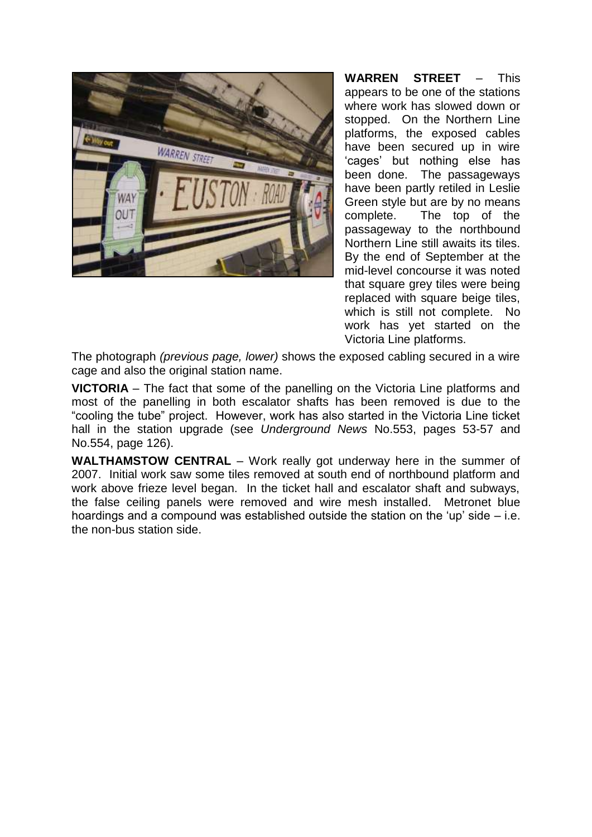

**WARREN STREET** – This appears to be one of the stations where work has slowed down or stopped. On the Northern Line platforms, the exposed cables have been secured up in wire "cages" but nothing else has been done. The passageways have been partly retiled in Leslie Green style but are by no means complete. The top of the passageway to the northbound Northern Line still awaits its tiles. By the end of September at the mid-level concourse it was noted that square grey tiles were being replaced with square beige tiles, which is still not complete. No work has yet started on the Victoria Line platforms.

The photograph *(previous page, lower)* shows the exposed cabling secured in a wire cage and also the original station name.

**VICTORIA** – The fact that some of the panelling on the Victoria Line platforms and most of the panelling in both escalator shafts has been removed is due to the "cooling the tube" project. However, work has also started in the Victoria Line ticket hall in the station upgrade (see *Underground News* No.553, pages 53-57 and No.554, page 126).

**WALTHAMSTOW CENTRAL** – Work really got underway here in the summer of 2007. Initial work saw some tiles removed at south end of northbound platform and work above frieze level began. In the ticket hall and escalator shaft and subways, the false ceiling panels were removed and wire mesh installed. Metronet blue hoardings and a compound was established outside the station on the "up" side – i.e. the non-bus station side.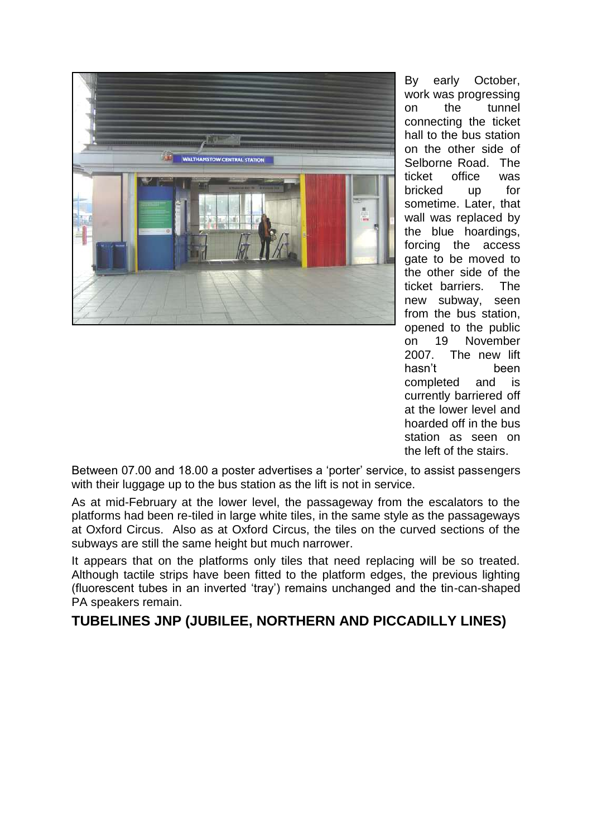

By early October, work was progressing on the tunnel connecting the ticket hall to the bus station on the other side of Selborne Road. The ticket office was bricked up for sometime. Later, that wall was replaced by the blue hoardings, forcing the access gate to be moved to the other side of the ticket barriers. The new subway, seen from the bus station, opened to the public on 19 November 2007. The new lift hasn"t been completed and is currently barriered off at the lower level and hoarded off in the bus station as seen on the left of the stairs.

Between 07.00 and 18.00 a poster advertises a "porter" service, to assist passengers with their luggage up to the bus station as the lift is not in service.

As at mid-February at the lower level, the passageway from the escalators to the platforms had been re-tiled in large white tiles, in the same style as the passageways at Oxford Circus. Also as at Oxford Circus, the tiles on the curved sections of the subways are still the same height but much narrower.

It appears that on the platforms only tiles that need replacing will be so treated. Although tactile strips have been fitted to the platform edges, the previous lighting (fluorescent tubes in an inverted "tray") remains unchanged and the tin-can-shaped PA speakers remain.

# **TUBELINES JNP (JUBILEE, NORTHERN AND PICCADILLY LINES)**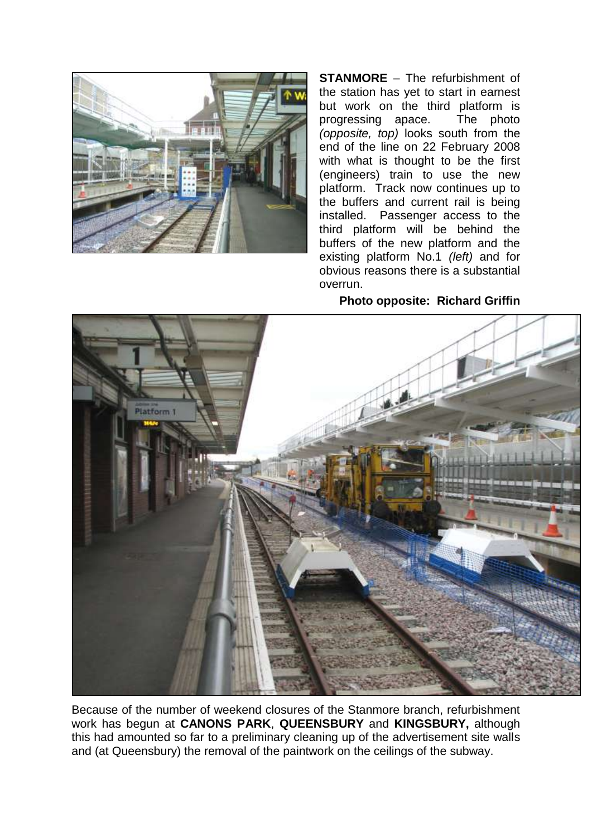

**STANMORE** – The refurbishment of the station has yet to start in earnest but work on the third platform is progressing apace. The photo *(opposite, top)* looks south from the end of the line on 22 February 2008 with what is thought to be the first (engineers) train to use the new platform. Track now continues up to the buffers and current rail is being installed. Passenger access to the third platform will be behind the buffers of the new platform and the existing platform No.1 *(left)* and for obvious reasons there is a substantial overrun.

#### **Photo opposite: Richard Griffin**



Because of the number of weekend closures of the Stanmore branch, refurbishment work has begun at **CANONS PARK**, **QUEENSBURY** and **KINGSBURY,** although this had amounted so far to a preliminary cleaning up of the advertisement site walls and (at Queensbury) the removal of the paintwork on the ceilings of the subway.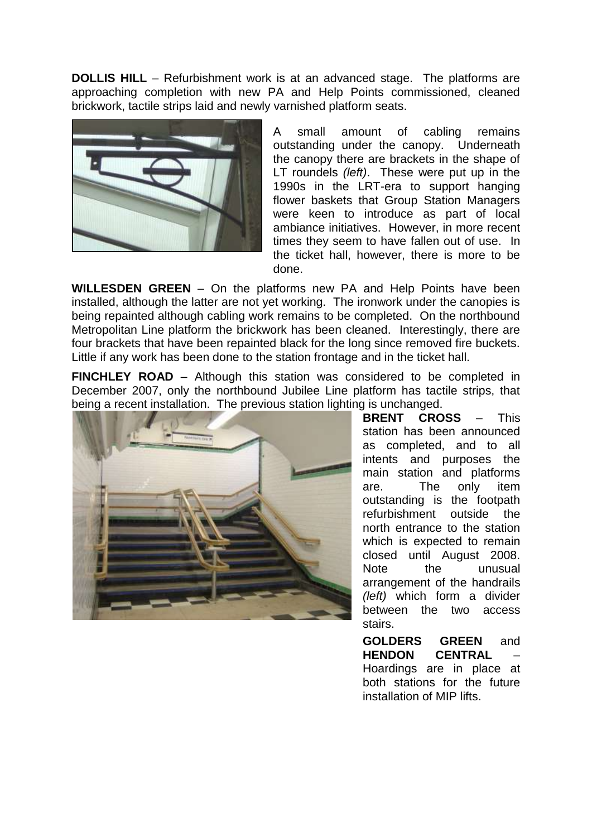**DOLLIS HILL** – Refurbishment work is at an advanced stage. The platforms are approaching completion with new PA and Help Points commissioned, cleaned brickwork, tactile strips laid and newly varnished platform seats.



A small amount of cabling remains outstanding under the canopy. Underneath the canopy there are brackets in the shape of LT roundels *(left)*. These were put up in the 1990s in the LRT-era to support hanging flower baskets that Group Station Managers were keen to introduce as part of local ambiance initiatives. However, in more recent times they seem to have fallen out of use. In the ticket hall, however, there is more to be done.

**WILLESDEN GREEN** – On the platforms new PA and Help Points have been installed, although the latter are not yet working. The ironwork under the canopies is being repainted although cabling work remains to be completed. On the northbound Metropolitan Line platform the brickwork has been cleaned. Interestingly, there are four brackets that have been repainted black for the long since removed fire buckets. Little if any work has been done to the station frontage and in the ticket hall.

**FINCHLEY ROAD** – Although this station was considered to be completed in December 2007, only the northbound Jubilee Line platform has tactile strips, that being a recent installation. The previous station lighting is unchanged.



**BRENT CROSS** – This station has been announced as completed, and to all intents and purposes the main station and platforms are. The only item outstanding is the footpath refurbishment outside the north entrance to the station which is expected to remain closed until August 2008. Note the unusual arrangement of the handrails *(left)* which form a divider between the two access stairs.

**GOLDERS GREEN** and **HENDON CENTRAL** – Hoardings are in place at both stations for the future installation of MIP lifts.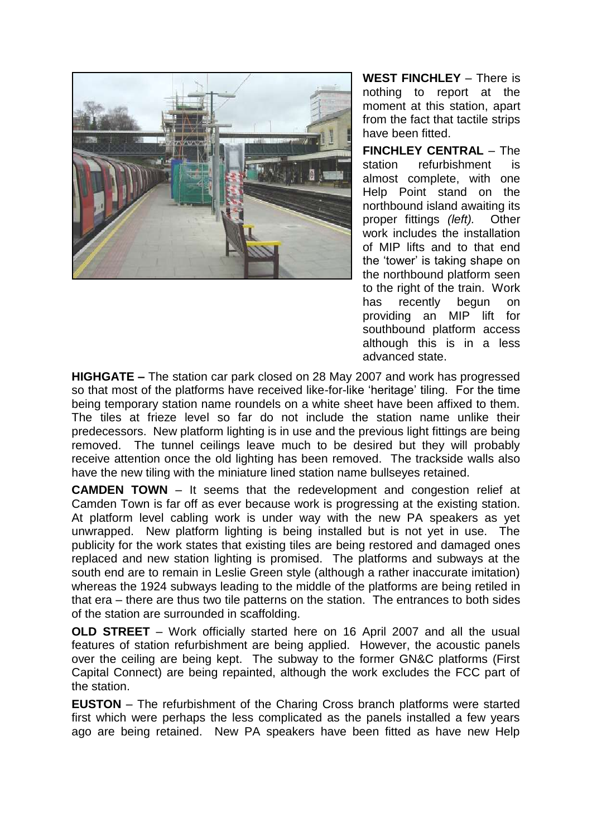

**WEST FINCHLEY** – There is nothing to report at the moment at this station, apart from the fact that tactile strips have been fitted.

**FINCHLEY CENTRAL** – The station refurbishment is almost complete, with one Help Point stand on the northbound island awaiting its proper fittings *(left).* Other work includes the installation of MIP lifts and to that end the "tower" is taking shape on the northbound platform seen to the right of the train. Work has recently begun on providing an MIP lift for southbound platform access although this is in a less advanced state.

**HIGHGATE –** The station car park closed on 28 May 2007 and work has progressed so that most of the platforms have received like-for-like 'heritage' tiling. For the time being temporary station name roundels on a white sheet have been affixed to them. The tiles at frieze level so far do not include the station name unlike their predecessors. New platform lighting is in use and the previous light fittings are being removed. The tunnel ceilings leave much to be desired but they will probably receive attention once the old lighting has been removed. The trackside walls also have the new tiling with the miniature lined station name bullseyes retained.

**CAMDEN TOWN** – It seems that the redevelopment and congestion relief at Camden Town is far off as ever because work is progressing at the existing station. At platform level cabling work is under way with the new PA speakers as yet unwrapped. New platform lighting is being installed but is not yet in use. The publicity for the work states that existing tiles are being restored and damaged ones replaced and new station lighting is promised. The platforms and subways at the south end are to remain in Leslie Green style (although a rather inaccurate imitation) whereas the 1924 subways leading to the middle of the platforms are being retiled in that era – there are thus two tile patterns on the station. The entrances to both sides of the station are surrounded in scaffolding.

**OLD STREET** – Work officially started here on 16 April 2007 and all the usual features of station refurbishment are being applied. However, the acoustic panels over the ceiling are being kept. The subway to the former GN&C platforms (First Capital Connect) are being repainted, although the work excludes the FCC part of the station.

**EUSTON** – The refurbishment of the Charing Cross branch platforms were started first which were perhaps the less complicated as the panels installed a few years ago are being retained. New PA speakers have been fitted as have new Help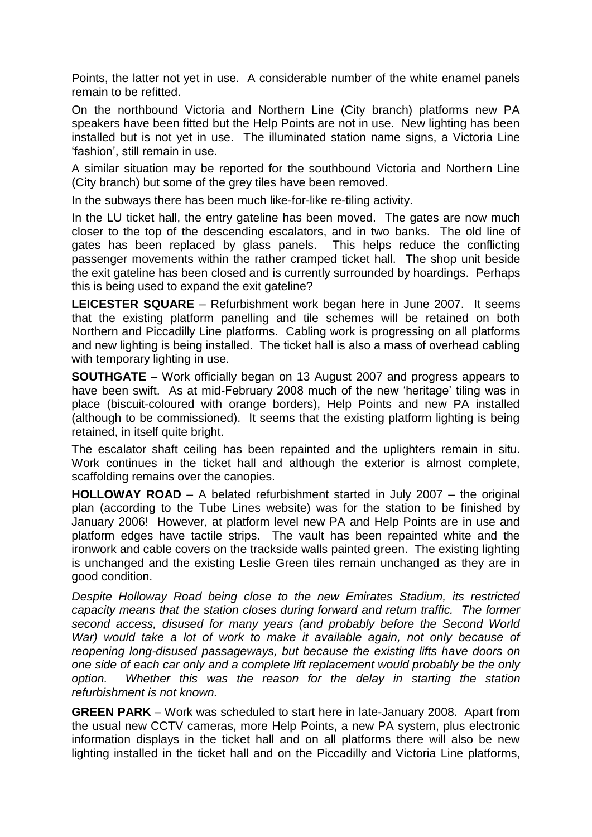Points, the latter not yet in use. A considerable number of the white enamel panels remain to be refitted.

On the northbound Victoria and Northern Line (City branch) platforms new PA speakers have been fitted but the Help Points are not in use. New lighting has been installed but is not yet in use. The illuminated station name signs, a Victoria Line "fashion", still remain in use.

A similar situation may be reported for the southbound Victoria and Northern Line (City branch) but some of the grey tiles have been removed.

In the subways there has been much like-for-like re-tiling activity.

In the LU ticket hall, the entry gateline has been moved. The gates are now much closer to the top of the descending escalators, and in two banks. The old line of gates has been replaced by glass panels. This helps reduce the conflicting passenger movements within the rather cramped ticket hall. The shop unit beside the exit gateline has been closed and is currently surrounded by hoardings. Perhaps this is being used to expand the exit gateline?

**LEICESTER SQUARE** – Refurbishment work began here in June 2007. It seems that the existing platform panelling and tile schemes will be retained on both Northern and Piccadilly Line platforms. Cabling work is progressing on all platforms and new lighting is being installed. The ticket hall is also a mass of overhead cabling with temporary lighting in use.

**SOUTHGATE** – Work officially began on 13 August 2007 and progress appears to have been swift. As at mid-February 2008 much of the new 'heritage' tiling was in place (biscuit-coloured with orange borders), Help Points and new PA installed (although to be commissioned). It seems that the existing platform lighting is being retained, in itself quite bright.

The escalator shaft ceiling has been repainted and the uplighters remain in situ. Work continues in the ticket hall and although the exterior is almost complete, scaffolding remains over the canopies.

**HOLLOWAY ROAD** – A belated refurbishment started in July 2007 – the original plan (according to the Tube Lines website) was for the station to be finished by January 2006! However, at platform level new PA and Help Points are in use and platform edges have tactile strips. The vault has been repainted white and the ironwork and cable covers on the trackside walls painted green. The existing lighting is unchanged and the existing Leslie Green tiles remain unchanged as they are in good condition.

*Despite Holloway Road being close to the new Emirates Stadium, its restricted capacity means that the station closes during forward and return traffic. The former second access, disused for many years (and probably before the Second World War)* would take a lot of work to make it available again, not only because of *reopening long-disused passageways, but because the existing lifts have doors on one side of each car only and a complete lift replacement would probably be the only option. Whether this was the reason for the delay in starting the station refurbishment is not known.* 

**GREEN PARK** – Work was scheduled to start here in late-January 2008. Apart from the usual new CCTV cameras, more Help Points, a new PA system, plus electronic information displays in the ticket hall and on all platforms there will also be new lighting installed in the ticket hall and on the Piccadilly and Victoria Line platforms,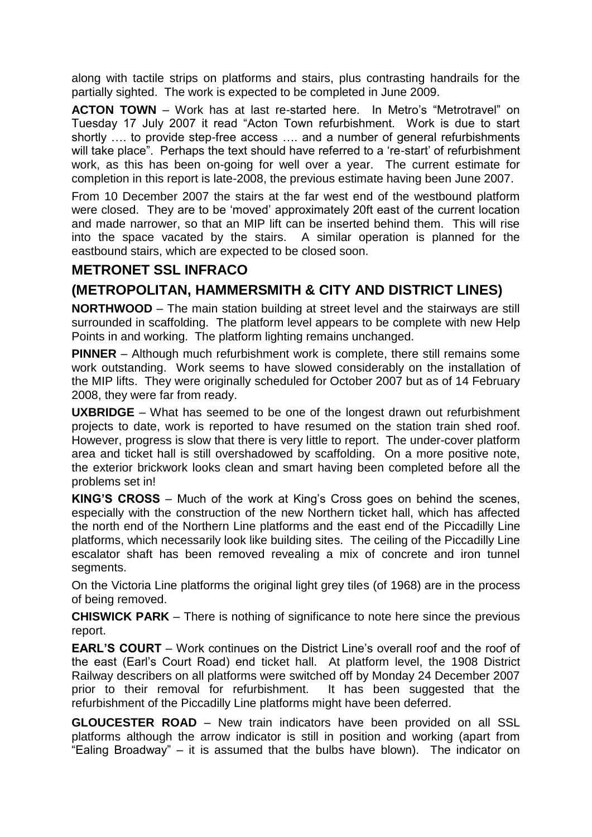along with tactile strips on platforms and stairs, plus contrasting handrails for the partially sighted. The work is expected to be completed in June 2009.

**ACTON TOWN** – Work has at last re-started here. In Metro's "Metrotravel" on Tuesday 17 July 2007 it read "Acton Town refurbishment. Work is due to start shortly …. to provide step-free access …. and a number of general refurbishments will take place". Perhaps the text should have referred to a 're-start' of refurbishment work, as this has been on-going for well over a year. The current estimate for completion in this report is late-2008, the previous estimate having been June 2007.

From 10 December 2007 the stairs at the far west end of the westbound platform were closed. They are to be "moved" approximately 20ft east of the current location and made narrower, so that an MIP lift can be inserted behind them. This will rise into the space vacated by the stairs. A similar operation is planned for the eastbound stairs, which are expected to be closed soon.

# **METRONET SSL INFRACO**

#### **(METROPOLITAN, HAMMERSMITH & CITY AND DISTRICT LINES)**

**NORTHWOOD** – The main station building at street level and the stairways are still surrounded in scaffolding. The platform level appears to be complete with new Help Points in and working. The platform lighting remains unchanged.

**PINNER** – Although much refurbishment work is complete, there still remains some work outstanding. Work seems to have slowed considerably on the installation of the MIP lifts. They were originally scheduled for October 2007 but as of 14 February 2008, they were far from ready.

**UXBRIDGE** – What has seemed to be one of the longest drawn out refurbishment projects to date, work is reported to have resumed on the station train shed roof. However, progress is slow that there is very little to report. The under-cover platform area and ticket hall is still overshadowed by scaffolding. On a more positive note, the exterior brickwork looks clean and smart having been completed before all the problems set in!

**KING'S CROSS** – Much of the work at King"s Cross goes on behind the scenes, especially with the construction of the new Northern ticket hall, which has affected the north end of the Northern Line platforms and the east end of the Piccadilly Line platforms, which necessarily look like building sites. The ceiling of the Piccadilly Line escalator shaft has been removed revealing a mix of concrete and iron tunnel segments.

On the Victoria Line platforms the original light grey tiles (of 1968) are in the process of being removed.

**CHISWICK PARK** – There is nothing of significance to note here since the previous report.

**EARL'S COURT** – Work continues on the District Line"s overall roof and the roof of the east (Earl"s Court Road) end ticket hall. At platform level, the 1908 District Railway describers on all platforms were switched off by Monday 24 December 2007 prior to their removal for refurbishment. It has been suggested that the refurbishment of the Piccadilly Line platforms might have been deferred.

**GLOUCESTER ROAD** – New train indicators have been provided on all SSL platforms although the arrow indicator is still in position and working (apart from "Ealing Broadway" – it is assumed that the bulbs have blown). The indicator on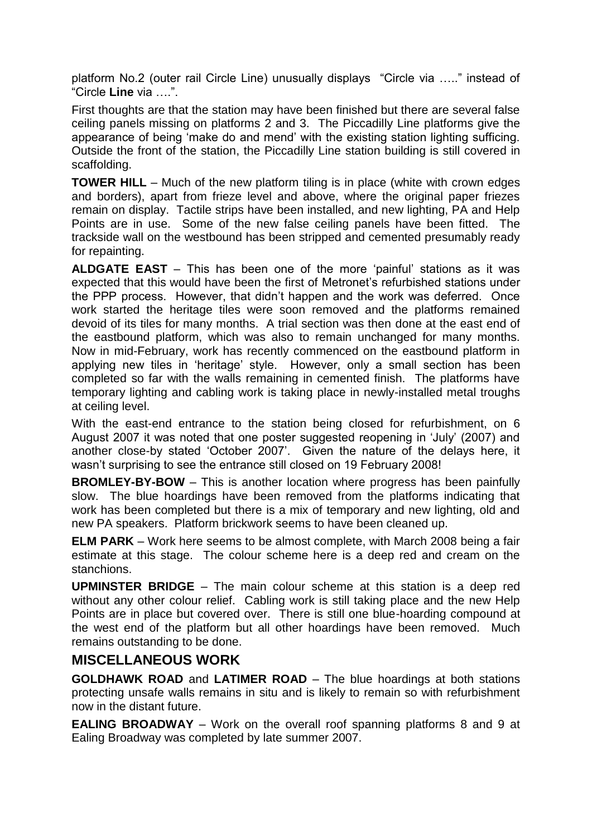platform No.2 (outer rail Circle Line) unusually displays "Circle via ….." instead of "Circle **Line** via ….".

First thoughts are that the station may have been finished but there are several false ceiling panels missing on platforms 2 and 3. The Piccadilly Line platforms give the appearance of being "make do and mend" with the existing station lighting sufficing. Outside the front of the station, the Piccadilly Line station building is still covered in scaffolding.

**TOWER HILL** – Much of the new platform tiling is in place (white with crown edges and borders), apart from frieze level and above, where the original paper friezes remain on display. Tactile strips have been installed, and new lighting, PA and Help Points are in use. Some of the new false ceiling panels have been fitted. The trackside wall on the westbound has been stripped and cemented presumably ready for repainting.

**ALDGATE EAST** – This has been one of the more "painful" stations as it was expected that this would have been the first of Metronet"s refurbished stations under the PPP process. However, that didn"t happen and the work was deferred. Once work started the heritage tiles were soon removed and the platforms remained devoid of its tiles for many months. A trial section was then done at the east end of the eastbound platform, which was also to remain unchanged for many months. Now in mid-February, work has recently commenced on the eastbound platform in applying new tiles in "heritage" style. However, only a small section has been completed so far with the walls remaining in cemented finish. The platforms have temporary lighting and cabling work is taking place in newly-installed metal troughs at ceiling level.

With the east-end entrance to the station being closed for refurbishment, on 6 August 2007 it was noted that one poster suggested reopening in "July" (2007) and another close-by stated "October 2007". Given the nature of the delays here, it wasn"t surprising to see the entrance still closed on 19 February 2008!

**BROMLEY-BY-BOW** – This is another location where progress has been painfully slow. The blue hoardings have been removed from the platforms indicating that work has been completed but there is a mix of temporary and new lighting, old and new PA speakers. Platform brickwork seems to have been cleaned up.

**ELM PARK** – Work here seems to be almost complete, with March 2008 being a fair estimate at this stage. The colour scheme here is a deep red and cream on the stanchions.

**UPMINSTER BRIDGE** – The main colour scheme at this station is a deep red without any other colour relief. Cabling work is still taking place and the new Help Points are in place but covered over. There is still one blue-hoarding compound at the west end of the platform but all other hoardings have been removed. Much remains outstanding to be done.

#### **MISCELLANEOUS WORK**

**GOLDHAWK ROAD** and **LATIMER ROAD** – The blue hoardings at both stations protecting unsafe walls remains in situ and is likely to remain so with refurbishment now in the distant future.

**EALING BROADWAY** – Work on the overall roof spanning platforms 8 and 9 at Ealing Broadway was completed by late summer 2007.